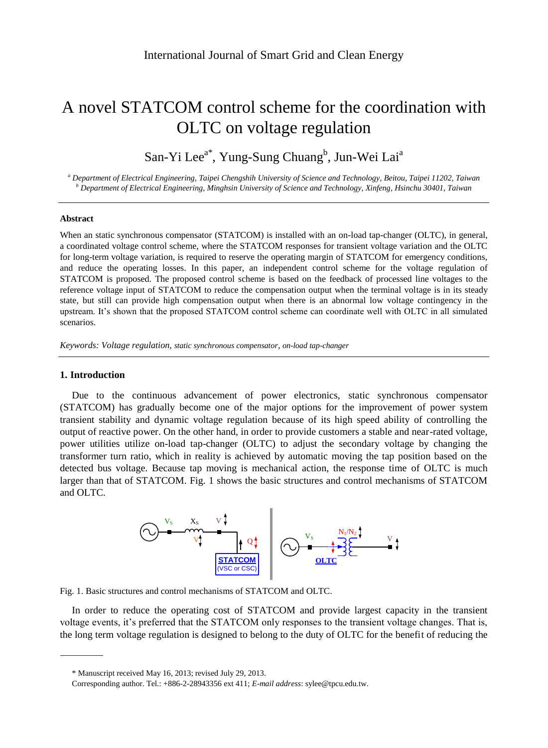# A novel STATCOM control scheme for the coordination with OLTC on voltage regulation

San-Yi Lee<sup>a\*</sup>, Yung-Sung Chuang<sup>b</sup>, Jun-Wei Lai<sup>a</sup>

*<sup>a</sup> Department of Electrical Engineering, Taipei Chengshih University of Science and Technology, Beitou, Taipei 11202, Taiwan <sup>b</sup> Department of Electrical Engineering, Minghsin University of Science and Technology, Xinfeng, Hsinchu 30401, Taiwan*

### **Abstract**

When an static synchronous compensator (STATCOM) is installed with an on-load tap-changer (OLTC), in general, a coordinated voltage control scheme, where the STATCOM responses for transient voltage variation and the OLTC for long-term voltage variation, is required to reserve the operating margin of STATCOM for emergency conditions, and reduce the operating losses. In this paper, an independent control scheme for the voltage regulation of STATCOM is proposed. The proposed control scheme is based on the feedback of processed line voltages to the reference voltage input of STATCOM to reduce the compensation output when the terminal voltage is in its steady state, but still can provide high compensation output when there is an abnormal low voltage contingency in the upstream. It's shown that the proposed STATCOM control scheme can coordinate well with OLTC in all simulated scenarios.

*Keywords: Voltage regulation, static synchronous compensator, on-load tap-changer*

# **1. Introduction**

Due to the continuous advancement of power electronics, static synchronous compensator (STATCOM) has gradually become one of the major options for the improvement of power system transient stability and dynamic voltage regulation because of its high speed ability of controlling the output of reactive power. On the other hand, in order to provide customers a stable and near-rated voltage, power utilities utilize on-load tap-changer (OLTC) to adjust the secondary voltage by changing the transformer turn ratio, which in reality is achieved by automatic moving the tap position based on the detected bus voltage. Because tap moving is mechanical action, the response time of OLTC is much larger than that of STATCOM. Fig. 1 shows the basic structures and control mechanisms of STATCOM and OLTC.



Fig. 1. Basic structures and control mechanisms of STATCOM and OLTC.

In order to reduce the operating cost of STATCOM and provide largest capacity in the transient voltage events, it's preferred that the STATCOM only responses to the transient voltage changes. That is, the long term voltage regulation is designed to belong to the duty of OLTC for the benefit of reducing the

<sup>\*</sup> Manuscript received May 16, 2013; revised July 29, 2013.

Corresponding author. Tel.: +886-2-28943356 ext 411; *E-mail address*: sylee@tpcu.edu.tw.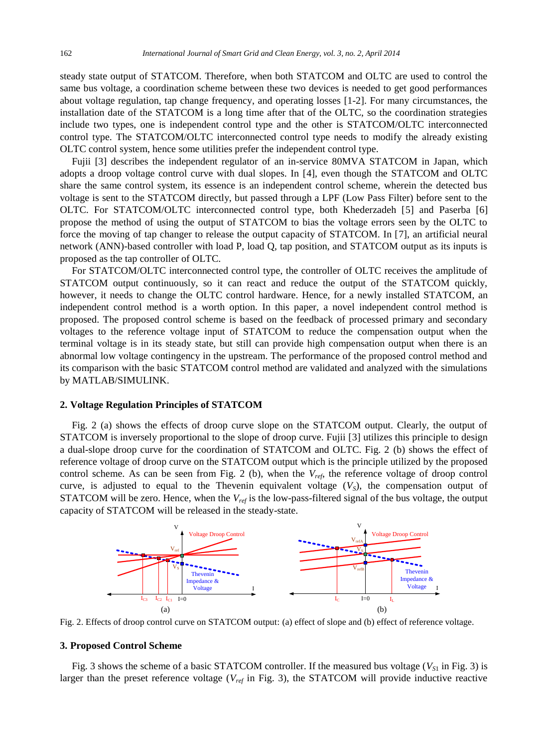steady state output of STATCOM. Therefore, when both STATCOM and OLTC are used to control the same bus voltage, a coordination scheme between these two devices is needed to get good performances about voltage regulation, tap change frequency, and operating losses [1-2]. For many circumstances, the installation date of the STATCOM is a long time after that of the OLTC, so the coordination strategies include two types, one is independent control type and the other is STATCOM/OLTC interconnected control type. The STATCOM/OLTC interconnected control type needs to modify the already existing OLTC control system, hence some utilities prefer the independent control type.

Fujii [3] describes the independent regulator of an in-service 80MVA STATCOM in Japan, which adopts a droop voltage control curve with dual slopes. In [4], even though the STATCOM and OLTC share the same control system, its essence is an independent control scheme, wherein the detected bus voltage is sent to the STATCOM directly, but passed through a LPF (Low Pass Filter) before sent to the OLTC. For STATCOM/OLTC interconnected control type, both Khederzadeh [5] and Paserba [6] propose the method of using the output of STATCOM to bias the voltage errors seen by the OLTC to force the moving of tap changer to release the output capacity of STATCOM. In [7], an artificial neural network (ANN)-based controller with load P, load Q, tap position, and STATCOM output as its inputs is proposed as the tap controller of OLTC.

For STATCOM/OLTC interconnected control type, the controller of OLTC receives the amplitude of STATCOM output continuously, so it can react and reduce the output of the STATCOM quickly, however, it needs to change the OLTC control hardware. Hence, for a newly installed STATCOM, an independent control method is a worth option. In this paper, a novel independent control method is proposed. The proposed control scheme is based on the feedback of processed primary and secondary voltages to the reference voltage input of STATCOM to reduce the compensation output when the terminal voltage is in its steady state, but still can provide high compensation output when there is an abnormal low voltage contingency in the upstream. The performance of the proposed control method and its comparison with the basic STATCOM control method are validated and analyzed with the simulations by MATLAB/SIMULINK.

# **2. Voltage Regulation Principles of STATCOM**

Fig. 2 (a) shows the effects of droop curve slope on the STATCOM output. Clearly, the output of STATCOM is inversely proportional to the slope of droop curve. Fujii [3] utilizes this principle to design a dual-slope droop curve for the coordination of STATCOM and OLTC. Fig. 2 (b) shows the effect of reference voltage of droop curve on the STATCOM output which is the principle utilized by the proposed control scheme. As can be seen from Fig. 2 (b), when the  $V_{ref}$ , the reference voltage of droop control curve, is adjusted to equal to the Thevenin equivalent voltage  $(V<sub>S</sub>)$ , the compensation output of STATCOM will be zero. Hence, when the *Vref* is the low-pass-filtered signal of the bus voltage, the output capacity of STATCOM will be released in the steady-state.



Fig. 2. Effects of droop control curve on STATCOM output: (a) effect of slope and (b) effect of reference voltage.

## **3. Proposed Control Scheme**

Fig. 3 shows the scheme of a basic STATCOM controller. If the measured bus voltage ( $V_{S1}$  in Fig. 3) is larger than the preset reference voltage (*Vref* in Fig. 3), the STATCOM will provide inductive reactive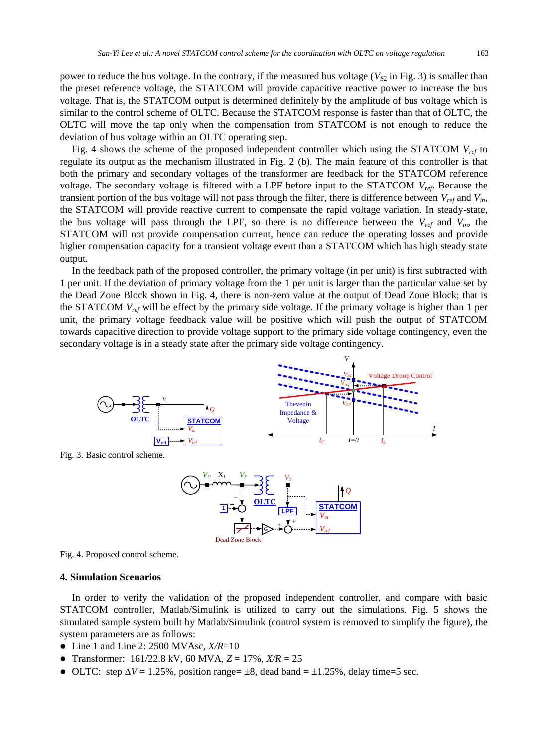power to reduce the bus voltage. In the contrary, if the measured bus voltage ( $V_{\rm S2}$  in Fig. 3) is smaller than the preset reference voltage, the STATCOM will provide capacitive reactive power to increase the bus voltage. That is, the STATCOM output is determined definitely by the amplitude of bus voltage which is similar to the control scheme of OLTC. Because the STATCOM response is faster than that of OLTC, the OLTC will move the tap only when the compensation from STATCOM is not enough to reduce the deviation of bus voltage within an OLTC operating step.

Fig. 4 shows the scheme of the proposed independent controller which using the STATCOM *Vref* to regulate its output as the mechanism illustrated in Fig. 2 (b). The main feature of this controller is that both the primary and secondary voltages of the transformer are feedback for the STATCOM reference voltage. The secondary voltage is filtered with a LPF before input to the STATCOM *Vref*. Because the transient portion of the bus voltage will not pass through the filter, there is difference between *Vref* and *Vin*, the STATCOM will provide reactive current to compensate the rapid voltage variation. In steady-state, the bus voltage will pass through the LPF, so there is no difference between the  $V_{ref}$  and  $V_{in}$ , the STATCOM will not provide compensation current, hence can reduce the operating losses and provide higher compensation capacity for a transient voltage event than a STATCOM which has high steady state output.

In the feedback path of the proposed controller, the primary voltage (in per unit) is first subtracted with 1 per unit. If the deviation of primary voltage from the 1 per unit is larger than the particular value set by the Dead Zone Block shown in Fig. 4, there is non-zero value at the output of Dead Zone Block; that is the STATCOM *Vref* will be effect by the primary side voltage. If the primary voltage is higher than 1 per unit, the primary voltage feedback value will be positive which will push the output of STATCOM towards capacitive direction to provide voltage support to the primary side voltage contingency, even the secondary voltage is in a steady state after the primary side voltage contingency.

*V*



Fig. 3. Basic control scheme.



Fig. 4. Proposed control scheme.

### **4. Simulation Scenarios**

In order to verify the validation of the proposed independent controller, and compare with basic STATCOM controller, Matlab/Simulink is utilized to carry out the simulations. Fig. 5 shows the simulated sample system built by Matlab/Simulink (control system is removed to simplify the figure), the system parameters are as follows:

- Line 1 and Line 2: 2500 MVAsc, *X/R*=10
- Transformer:  $161/22.8$  kV,  $60$  MVA,  $Z = 17\%$ ,  $X/R = 25$
- OLTC: step  $\Delta V = 1.25\%$ , position range=  $\pm 8$ , dead band =  $\pm 1.25\%$ , delay time=5 sec.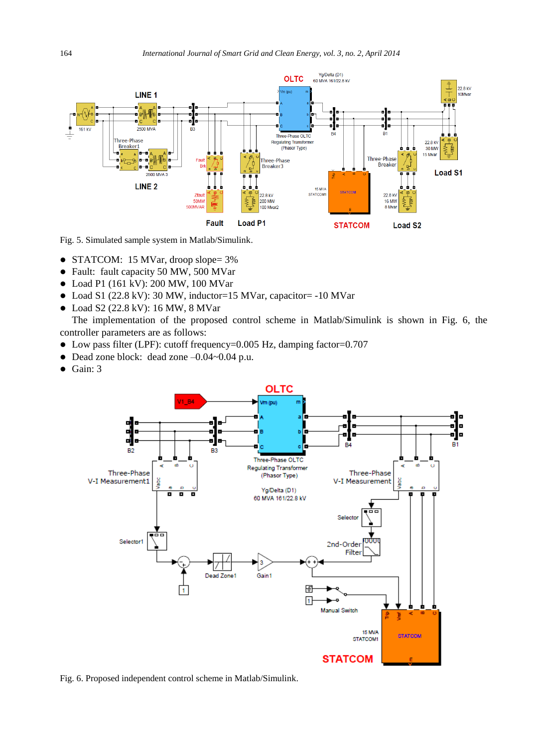

Fig. 5. Simulated sample system in Matlab/Simulink.

- STATCOM: 15 MVar, droop slope= 3%
- Fault: fault capacity 50 MW, 500 MVar
- Load P1 (161 kV): 200 MW, 100 MVar
- Load S1 (22.8 kV): 30 MW, inductor=15 MVar, capacitor= -10 MVar
- Load S2 (22.8 kV): 16 MW, 8 MVar

The implementation of the proposed control scheme in Matlab/Simulink is shown in Fig. 6, the controller parameters are as follows:

- Low pass filter (LPF): cutoff frequency=0.005 Hz, damping factor=0.707
- Dead zone block: dead zone -0.04~0.04 p.u.
- $\bullet$  Gain: 3



Fig. 6. Proposed independent control scheme in Matlab/Simulink.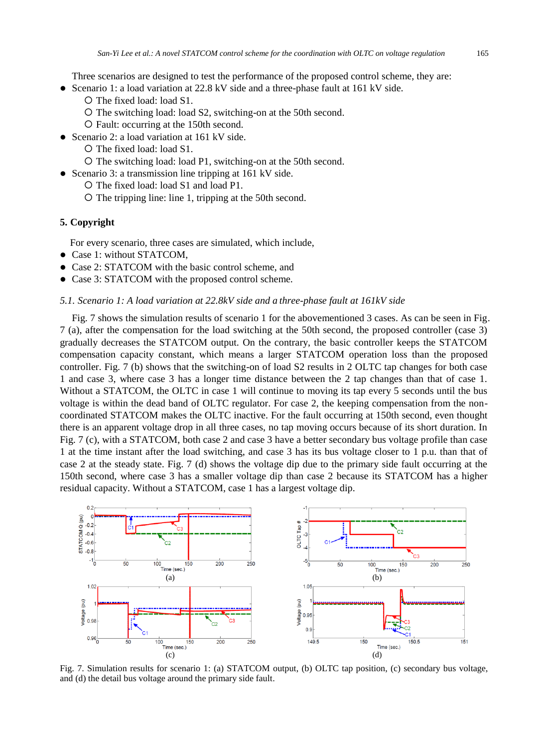Three scenarios are designed to test the performance of the proposed control scheme, they are:

- Scenario 1: a load variation at 22.8 kV side and a three-phase fault at 161 kV side.
	- O The fixed load: load S1.
	- O The switching load: load S2, switching-on at the 50th second.
	- Fault: occurring at the 150th second.
- Scenario 2: a load variation at 161 kV side.
	- O The fixed load: load S1.
	- O The switching load: load P1, switching-on at the 50th second.
- Scenario 3: a transmission line tripping at 161 kV side.
	- O The fixed load: load S1 and load P1.
	- O The tripping line: line 1, tripping at the 50th second.

# **5. Copyright**

For every scenario, three cases are simulated, which include,

- Case 1: without STATCOM.
- Case 2: STATCOM with the basic control scheme, and
- Case 3: STATCOM with the proposed control scheme.

#### *5.1. Scenario 1: A load variation at 22.8kV side and a three-phase fault at 161kV side*

Fig. 7 shows the simulation results of scenario 1 for the abovementioned 3 cases. As can be seen in Fig. 7 (a), after the compensation for the load switching at the 50th second, the proposed controller (case 3) gradually decreases the STATCOM output. On the contrary, the basic controller keeps the STATCOM compensation capacity constant, which means a larger STATCOM operation loss than the proposed controller. Fig. 7 (b) shows that the switching-on of load S2 results in 2 OLTC tap changes for both case 1 and case 3, where case 3 has a longer time distance between the 2 tap changes than that of case 1. Without a STATCOM, the OLTC in case 1 will continue to moving its tap every 5 seconds until the bus voltage is within the dead band of OLTC regulator. For case 2, the keeping compensation from the noncoordinated STATCOM makes the OLTC inactive. For the fault occurring at 150th second, even thought there is an apparent voltage drop in all three cases, no tap moving occurs because of its short duration. In Fig. 7 (c), with a STATCOM, both case 2 and case 3 have a better secondary bus voltage profile than case 1 at the time instant after the load switching, and case 3 has its bus voltage closer to 1 p.u. than that of case 2 at the steady state. Fig. 7 (d) shows the voltage dip due to the primary side fault occurring at the 150th second, where case 3 has a smaller voltage dip than case 2 because its STATCOM has a higher residual capacity. Without a STATCOM, case 1 has a largest voltage dip.



Fig. 7. Simulation results for scenario 1: (a) STATCOM output, (b) OLTC tap position, (c) secondary bus voltage, and (d) the detail bus voltage around the primary side fault.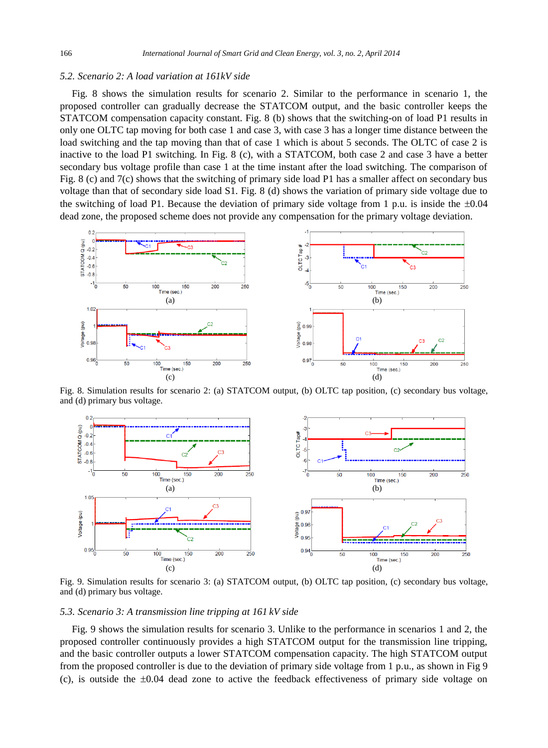# *5.2. Scenario 2: A load variation at 161kV side*

Fig. 8 shows the simulation results for scenario 2. Similar to the performance in scenario 1, the proposed controller can gradually decrease the STATCOM output, and the basic controller keeps the STATCOM compensation capacity constant. Fig. 8 (b) shows that the switching-on of load P1 results in only one OLTC tap moving for both case 1 and case 3, with case 3 has a longer time distance between the load switching and the tap moving than that of case 1 which is about 5 seconds. The OLTC of case 2 is inactive to the load P1 switching. In Fig. 8 (c), with a STATCOM, both case 2 and case 3 have a better secondary bus voltage profile than case 1 at the time instant after the load switching. The comparison of Fig. 8 (c) and 7(c) shows that the switching of primary side load P1 has a smaller affect on secondary bus voltage than that of secondary side load S1. Fig. 8 (d) shows the variation of primary side voltage due to the switching of load P1. Because the deviation of primary side voltage from 1 p.u. is inside the  $\pm 0.04$ dead zone, the proposed scheme does not provide any compensation for the primary voltage deviation.



Fig. 8. Simulation results for scenario 2: (a) STATCOM output, (b) OLTC tap position, (c) secondary bus voltage, and (d) primary bus voltage.



Fig. 9. Simulation results for scenario 3: (a) STATCOM output, (b) OLTC tap position, (c) secondary bus voltage, and (d) primary bus voltage.

*5.3. Scenario 3: A transmission line tripping at 161 kV side*

Fig. 9 shows the simulation results for scenario 3. Unlike to the performance in scenarios 1 and 2, the proposed controller continuously provides a high STATCOM output for the transmission line tripping, and the basic controller outputs a lower STATCOM compensation capacity. The high STATCOM output from the proposed controller is due to the deviation of primary side voltage from 1 p.u., as shown in Fig 9 (c), is outside the  $\pm 0.04$  dead zone to active the feedback effectiveness of primary side voltage on